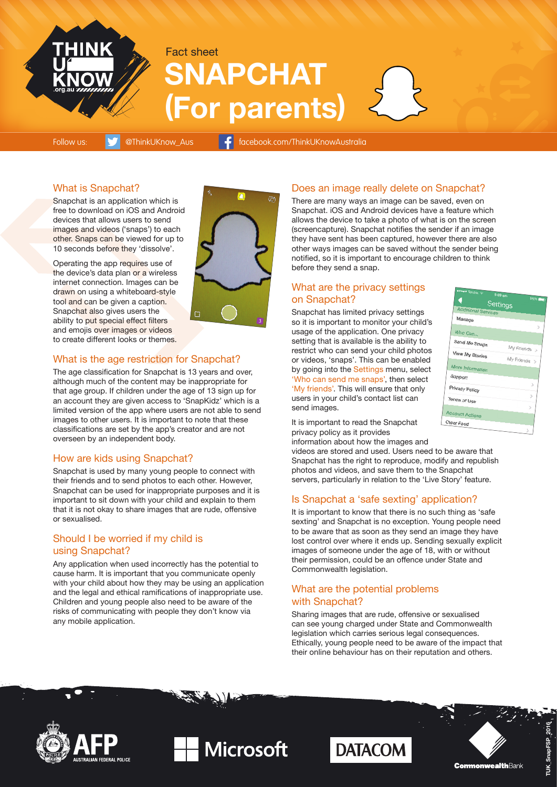

# **SNAPCHAT (For parents)** Fact sheet

Follow us: **W** @ThinkUKnow\_Aus **f** facebook.com/ThinkUKnowAustralia

#### What is Snapchat?

Snapchat is an application which is free to download on iOS and Android devices that allows users to send images and videos ('snaps') to each other. Snaps can be viewed for up to 10 seconds before they 'dissolve'.

Operating the app requires use of the device's data plan or a wireless internet connection. Images can be drawn on using a whiteboard-style tool and can be given a caption. Snapchat also gives users the ability to put special effect filters and emojis over images or videos to create different looks or themes.



#### What is the age restriction for Snapchat?

The age classification for Snapchat is 13 years and over, although much of the content may be inappropriate for that age group. If children under the age of 13 sign up for an account they are given access to 'SnapKidz' which is a limited version of the app where users are not able to send images to other users. It is important to note that these classifications are set by the app's creator and are not overseen by an independent body.

#### How are kids using Snapchat?

Snapchat is used by many young people to connect with their friends and to send photos to each other. However, Snapchat can be used for inappropriate purposes and it is important to sit down with your child and explain to them that it is not okay to share images that are rude, offensive or sexualised.

#### Should I be worried if my child is using Snapchat?

Any application when used incorrectly has the potential to cause harm. It is important that you communicate openly with your child about how they may be using an application and the legal and ethical ramifications of inappropriate use. Children and young people also need to be aware of the risks of communicating with people they don't know via any mobile application.

### Does an image really delete on Snapchat?

There are many ways an image can be saved, even on Snapchat. iOS and Android devices have a feature which allows the device to take a photo of what is on the screen (screencapture). Snapchat notifies the sender if an image they have sent has been captured, however there are also other ways images can be saved without the sender being notified, so it is important to encourage children to think before they send a snap.

#### What are the privacy settings on Snapchat?

Snapchat has limited privacy settings so it is important to monitor your child's usage of the application. One privacy setting that is available is the ability to restrict who can send your child photos or videos, 'snaps'. This can be enabled by going into the Settings menu, select 'Who can send me snaps', then select 'My friends'. This will ensure that only users in your child's contact list can send images.



videos are stored and used. Users need to be aware that Snapchat has the right to reproduce, modify and republish photos and videos, and save them to the Snapchat servers, particularly in relation to the 'Live Story' feature.

#### Is Snapchat a 'safe sexting' application?

It is important to know that there is no such thing as 'safe sexting' and Snapchat is no exception. Young people need to be aware that as soon as they send an image they have lost control over where it ends up. Sending sexually explicit images of someone under the age of 18, with or without their permission, could be an offence under State and Commonwealth legislation.

#### What are the potential problems with Snapchat?

Sharing images that are rude, offensive or sexualised can see young charged under State and Commonwealth legislation which carries serious legal consequences. Ethically, young people need to be aware of the impact that their online behaviour has on their reputation and others.



.<br>Ralian Federal Police